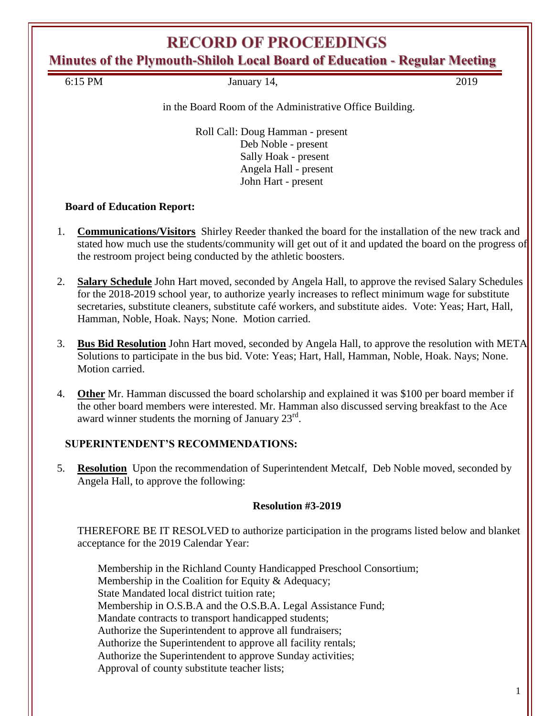# **RECORD OF PROCEEDINGS**

**Minutes of the Plymouth-Shiloh Local Board of Education - Regular Meeting**

| 6:15<br>PM. | 19.nu91<br><i>J</i> unual<br>$\overline{\phantom{a}}$ |  |
|-------------|-------------------------------------------------------|--|

in the Board Room of the Administrative Office Building.

Roll Call: Doug Hamman - present Deb Noble - present Sally Hoak - present Angela Hall - present John Hart - present

### **Board of Education Report:**

- 1. **Communications/Visitors** Shirley Reeder thanked the board for the installation of the new track and stated how much use the students/community will get out of it and updated the board on the progress of the restroom project being conducted by the athletic boosters.
- 2. **Salary Schedule** John Hart moved, seconded by Angela Hall, to approve the revised Salary Schedules for the 2018-2019 school year, to authorize yearly increases to reflect minimum wage for substitute secretaries, substitute cleaners, substitute café workers, and substitute aides. Vote: Yeas; Hart, Hall, Hamman, Noble, Hoak. Nays; None. Motion carried.
- 3. **Bus Bid Resolution** John Hart moved, seconded by Angela Hall, to approve the resolution with META Solutions to participate in the bus bid. Vote: Yeas; Hart, Hall, Hamman, Noble, Hoak. Nays; None. Motion carried.
- 4. **Other** Mr. Hamman discussed the board scholarship and explained it was \$100 per board member if the other board members were interested. Mr. Hamman also discussed serving breakfast to the Ace award winner students the morning of January  $23^{\text{rd}}$ .

### **SUPERINTENDENT'S RECOMMENDATIONS:**

5. **Resolution** Upon the recommendation of Superintendent Metcalf, Deb Noble moved, seconded by Angela Hall, to approve the following:

### **Resolution #3-2019**

THEREFORE BE IT RESOLVED to authorize participation in the programs listed below and blanket acceptance for the 2019 Calendar Year:

Membership in the Richland County Handicapped Preschool Consortium; Membership in the Coalition for Equity & Adequacy; State Mandated local district tuition rate; Membership in O.S.B.A and the O.S.B.A. Legal Assistance Fund; Mandate contracts to transport handicapped students; Authorize the Superintendent to approve all fundraisers; Authorize the Superintendent to approve all facility rentals; Authorize the Superintendent to approve Sunday activities; Approval of county substitute teacher lists;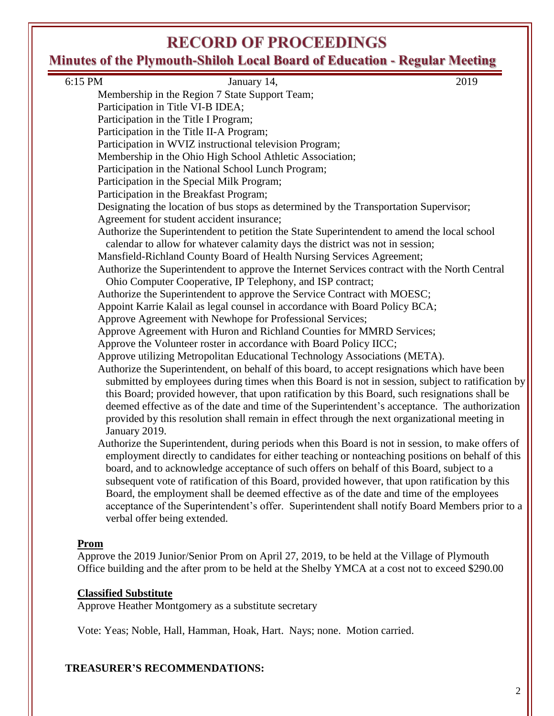# **RECORD OF PROCEEDINGS**

# **Minutes of the Plymouth-Shiloh Local Board of Education - Regular Meeting**

| 6:15 PM<br>2019<br>January 14,                                                                    |  |
|---------------------------------------------------------------------------------------------------|--|
| Membership in the Region 7 State Support Team;                                                    |  |
| Participation in Title VI-B IDEA;                                                                 |  |
| Participation in the Title I Program;                                                             |  |
| Participation in the Title II-A Program;                                                          |  |
| Participation in WVIZ instructional television Program;                                           |  |
| Membership in the Ohio High School Athletic Association;                                          |  |
| Participation in the National School Lunch Program;                                               |  |
| Participation in the Special Milk Program;                                                        |  |
| Participation in the Breakfast Program;                                                           |  |
| Designating the location of bus stops as determined by the Transportation Supervisor;             |  |
| Agreement for student accident insurance;                                                         |  |
| Authorize the Superintendent to petition the State Superintendent to amend the local school       |  |
| calendar to allow for whatever calamity days the district was not in session;                     |  |
| Mansfield-Richland County Board of Health Nursing Services Agreement;                             |  |
| Authorize the Superintendent to approve the Internet Services contract with the North Central     |  |
| Ohio Computer Cooperative, IP Telephony, and ISP contract;                                        |  |
| Authorize the Superintendent to approve the Service Contract with MOESC;                          |  |
| Appoint Karrie Kalail as legal counsel in accordance with Board Policy BCA;                       |  |
| Approve Agreement with Newhope for Professional Services;                                         |  |
| Approve Agreement with Huron and Richland Counties for MMRD Services;                             |  |
| Approve the Volunteer roster in accordance with Board Policy IICC;                                |  |
| Approve utilizing Metropolitan Educational Technology Associations (META).                        |  |
| Authorize the Superintendent, on behalf of this board, to accept resignations which have been     |  |
| submitted by employees during times when this Board is not in session, subject to ratification by |  |
| this Board; provided however, that upon ratification by this Board, such resignations shall be    |  |
| deemed effective as of the date and time of the Superintendent's acceptance. The authorization    |  |
| provided by this resolution shall remain in effect through the next organizational meeting in     |  |
| January 2019.                                                                                     |  |
| Authorize the Superintendent, during periods when this Board is not in session, to make offers of |  |
| employment directly to candidates for either teaching or nonteaching positions on behalf of this  |  |
| board, and to acknowledge acceptance of such offers on behalf of this Board, subject to a         |  |
| subsequent vote of ratification of this Board, provided however, that upon ratification by this   |  |
| Board, the employment shall be deemed effective as of the date and time of the employees          |  |
| acceptance of the Superintendent's offer. Superintendent shall notify Board Members prior to a    |  |
| verbal offer being extended.                                                                      |  |
|                                                                                                   |  |
| <u>Prom</u>                                                                                       |  |
| Approve the 2019 Junior/Senior Prom on April 27, 2019, to be held at the Village of Plymouth      |  |
| Office building and the after prom to be held at the Shelby YMCA at a cost not to exceed \$290.00 |  |

# **Classified Substitute**

Approve Heather Montgomery as a substitute secretary

Vote: Yeas; Noble, Hall, Hamman, Hoak, Hart. Nays; none. Motion carried.

# **TREASURER'S RECOMMENDATIONS:**